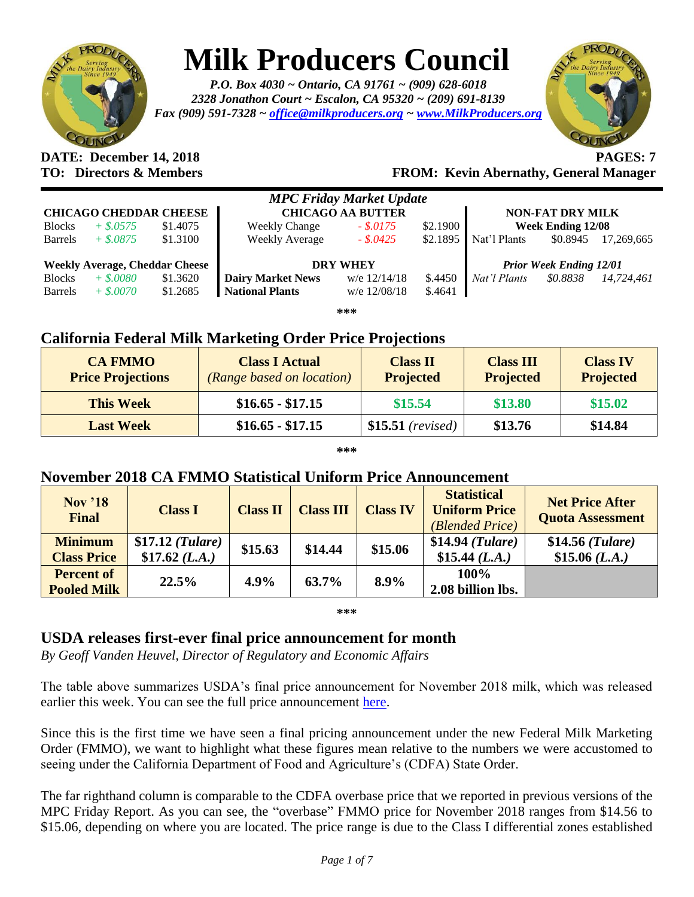

# **Milk Producers Council**

*P.O. Box 4030 ~ Ontario, CA 91761 ~ (909) 628-6018 2328 Jonathon Court ~ Escalon, CA 95320 ~ (209) 691-8139 Fax (909) 591-7328 ~ [office@milkproducers.org](mailto:office@milkproducers.org) ~ [www.MilkProducers.org](http://www.milkproducers.org/)*



## **DATE: December 14, 2018 PAGES: 7**

**TO: Directors & Members FROM: Kevin Abernathy, General Manager**

| <b>MPC Friday Market Update</b>       |             |          |                          |                         |          |                                |                          |            |  |
|---------------------------------------|-------------|----------|--------------------------|-------------------------|----------|--------------------------------|--------------------------|------------|--|
| <b>CHICAGO CHEDDAR CHEESE</b>         |             |          | <b>CHICAGO AA BUTTER</b> | <b>NON-FAT DRY MILK</b> |          |                                |                          |            |  |
| <b>Blocks</b>                         | $+$ \$.0575 | \$1.4075 | <b>Weekly Change</b>     | \$2.1900<br>$-.8.0175$  |          |                                | <b>Week Ending 12/08</b> |            |  |
| <b>Barrels</b>                        | $+$ \$.0875 | \$1.3100 | <b>Weekly Average</b>    | $-.$ \$.0425            | \$2.1895 | Nat'l Plants                   | \$0.8945                 | 17.269.665 |  |
|                                       |             |          |                          |                         |          |                                |                          |            |  |
| <b>Weekly Average, Cheddar Cheese</b> |             |          | <b>DRY WHEY</b>          |                         |          | <b>Prior Week Ending 12/01</b> |                          |            |  |
| <b>Blocks</b>                         | $+$ \$.0080 | \$1.3620 | <b>Dairy Market News</b> | w/e $12/14/18$          | \$.4450  | Nat'l Plants                   | \$0.8838                 | 14.724.461 |  |
| <b>Barrels</b>                        | $+$ \$,0070 | \$1.2685 | <b>National Plants</b>   | w/e 12/08/18            | \$.4641  |                                |                          |            |  |
| ***                                   |             |          |                          |                         |          |                                |                          |            |  |

## **California Federal Milk Marketing Order Price Projections**

| <b>CA FMMO</b><br><b>Price Projections</b> | <b>Class I Actual</b><br><i>(Range based on location)</i> | <b>Class II</b><br><b>Projected</b> | <b>Class III</b><br><b>Projected</b> | <b>Class IV</b><br><b>Projected</b> |
|--------------------------------------------|-----------------------------------------------------------|-------------------------------------|--------------------------------------|-------------------------------------|
| <b>This Week</b>                           | $$16.65 - $17.15$                                         | \$15.54                             | \$13.80                              | \$15.02                             |
| <b>Last Week</b>                           | $$16.65 - $17.15$                                         | $$15.51$ (revised)                  | \$13.76                              | \$14.84                             |

**\*\*\***

## **November 2018 CA FMMO Statistical Uniform Price Announcement**

| <b>Nov</b> '18<br><b>Final</b> | <b>Class I</b>    | <b>Class II</b> | <b>Class III</b> | <b>Class IV</b> | <b>Statistical</b><br><b>Uniform Price</b><br>(Blended Price) | <b>Net Price After</b><br><b>Quota Assessment</b> |
|--------------------------------|-------------------|-----------------|------------------|-----------------|---------------------------------------------------------------|---------------------------------------------------|
| <b>Minimum</b>                 | $$17.12$ (Tulare) | \$15.63         | \$14.44          | \$15.06         | \$14.94 (Tulare)                                              | $$14.56$ (Tulare)                                 |
| <b>Class Price</b>             | \$17.62 (L.A.)    |                 |                  |                 | \$15.44 $(L.A.)$                                              | \$15.06 (L.A.)                                    |
| <b>Percent of</b>              | 22.5%             | 4.9%            | 63.7%            | 8.9%            | 100%                                                          |                                                   |
| <b>Pooled Milk</b>             |                   |                 |                  |                 | 2.08 billion lbs.                                             |                                                   |

**\*\*\***

## **USDA releases first-ever final price announcement for month**

*By Geoff Vanden Heuvel, Director of Regulatory and Economic Affairs*

The table above summarizes USDA's final price announcement for November 2018 milk, which was released earlier this week. You can see the full price announcement [here.](https://cafmmo.com/download-file/?s=true&folderMap=prices.statistical-uniform&fileName=2018%2f201811+Pool+Price.pdf&ia=inline)

Since this is the first time we have seen a final pricing announcement under the new Federal Milk Marketing Order (FMMO), we want to highlight what these figures mean relative to the numbers we were accustomed to seeing under the California Department of Food and Agriculture's (CDFA) State Order.

The far righthand column is comparable to the CDFA overbase price that we reported in previous versions of the MPC Friday Report. As you can see, the "overbase" FMMO price for November 2018 ranges from \$14.56 to \$15.06, depending on where you are located. The price range is due to the Class I differential zones established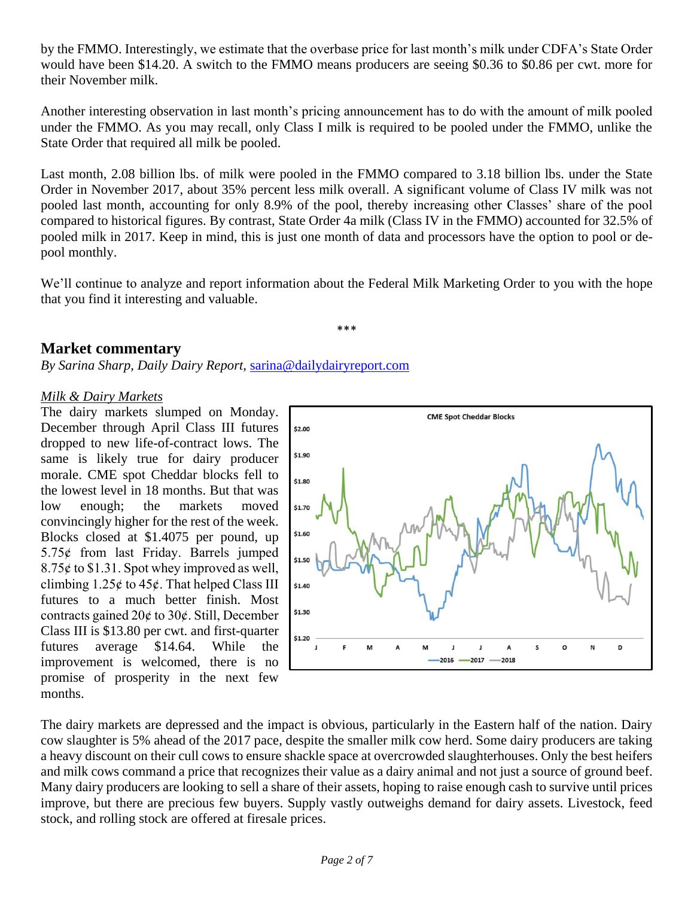by the FMMO. Interestingly, we estimate that the overbase price for last month's milk under CDFA's State Order would have been \$14.20. A switch to the FMMO means producers are seeing \$0.36 to \$0.86 per cwt. more for their November milk.

Another interesting observation in last month's pricing announcement has to do with the amount of milk pooled under the FMMO. As you may recall, only Class I milk is required to be pooled under the FMMO, unlike the State Order that required all milk be pooled.

Last month, 2.08 billion lbs. of milk were pooled in the FMMO compared to 3.18 billion lbs. under the State Order in November 2017, about 35% percent less milk overall. A significant volume of Class IV milk was not pooled last month, accounting for only 8.9% of the pool, thereby increasing other Classes' share of the pool compared to historical figures. By contrast, State Order 4a milk (Class IV in the FMMO) accounted for 32.5% of pooled milk in 2017. Keep in mind, this is just one month of data and processors have the option to pool or depool monthly.

We'll continue to analyze and report information about the Federal Milk Marketing Order to you with the hope that you find it interesting and valuable.

\*\*\*

### **Market commentary**

*By Sarina Sharp, Daily Dairy Report,* [sarina@dailydairyreport.com](mailto:sarina@dailydairyreport.com)

#### *Milk & Dairy Markets*

The dairy markets slumped on Monday. December through April Class III futures dropped to new life-of-contract lows. The same is likely true for dairy producer morale. CME spot Cheddar blocks fell to the lowest level in 18 months. But that was low enough; the markets moved convincingly higher for the rest of the week. Blocks closed at \$1.4075 per pound, up  $5.75¢$  from last Friday. Barrels jumped  $8.75¢$  to \$1.31. Spot whey improved as well, climbing  $1.25¢$  to  $45¢$ . That helped Class III futures to a much better finish. Most contracts gained  $20¢$  to  $30¢$ . Still, December Class III is \$13.80 per cwt. and first-quarter futures average \$14.64. While the improvement is welcomed, there is no promise of prosperity in the next few months.



The dairy markets are depressed and the impact is obvious, particularly in the Eastern half of the nation. Dairy cow slaughter is 5% ahead of the 2017 pace, despite the smaller milk cow herd. Some dairy producers are taking a heavy discount on their cull cows to ensure shackle space at overcrowded slaughterhouses. Only the best heifers and milk cows command a price that recognizes their value as a dairy animal and not just a source of ground beef. Many dairy producers are looking to sell a share of their assets, hoping to raise enough cash to survive until prices improve, but there are precious few buyers. Supply vastly outweighs demand for dairy assets. Livestock, feed stock, and rolling stock are offered at firesale prices.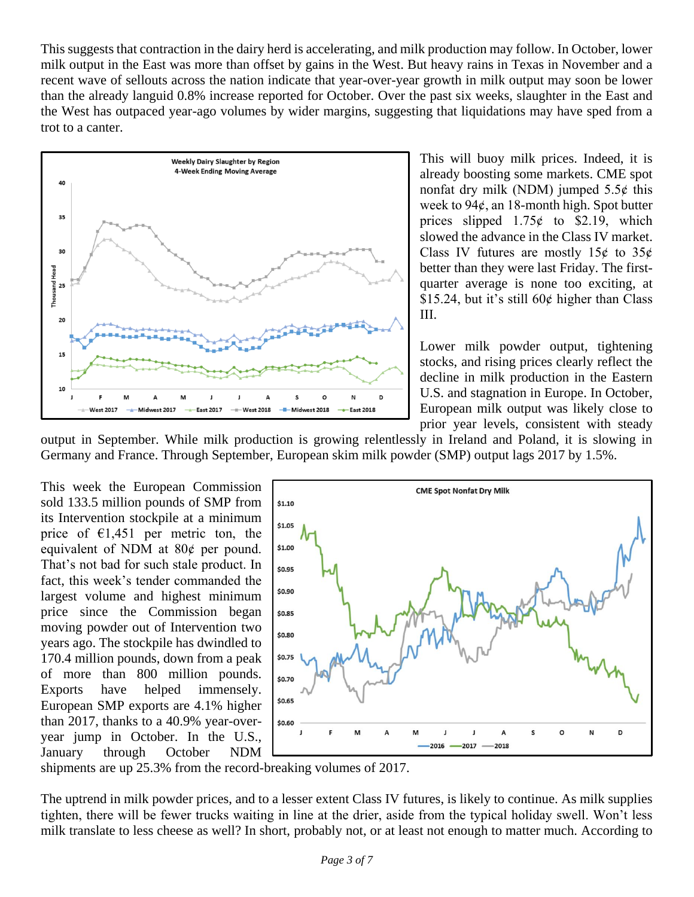This suggests that contraction in the dairy herd is accelerating, and milk production may follow. In October, lower milk output in the East was more than offset by gains in the West. But heavy rains in Texas in November and a recent wave of sellouts across the nation indicate that year-over-year growth in milk output may soon be lower than the already languid 0.8% increase reported for October. Over the past six weeks, slaughter in the East and the West has outpaced year-ago volumes by wider margins, suggesting that liquidations may have sped from a trot to a canter.



This will buoy milk prices. Indeed, it is already boosting some markets. CME spot nonfat dry milk (NDM) jumped  $5.5¢$  this week to  $94¢$ , an 18-month high. Spot butter prices slipped  $1.75¢$  to \$2.19, which slowed the advance in the Class IV market. Class IV futures are mostly  $15¢$  to  $35¢$ better than they were last Friday. The firstquarter average is none too exciting, at \$15.24, but it's still  $60¢$  higher than Class III.

Lower milk powder output, tightening stocks, and rising prices clearly reflect the decline in milk production in the Eastern U.S. and stagnation in Europe. In October, European milk output was likely close to prior year levels, consistent with steady

output in September. While milk production is growing relentlessly in Ireland and Poland, it is slowing in Germany and France. Through September, European skim milk powder (SMP) output lags 2017 by 1.5%.

This week the European Commission sold 133.5 million pounds of SMP from its Intervention stockpile at a minimum price of  $\epsilon$ 1,451 per metric ton, the equivalent of NDM at  $80¢$  per pound. That's not bad for such stale product. In fact, this week's tender commanded the largest volume and highest minimum price since the Commission began moving powder out of Intervention two years ago. The stockpile has dwindled to 170.4 million pounds, down from a peak of more than 800 million pounds. Exports have helped immensely. European SMP exports are 4.1% higher than 2017, thanks to a 40.9% year-overyear jump in October. In the U.S., January through October NDM



shipments are up 25.3% from the record-breaking volumes of 2017.

The uptrend in milk powder prices, and to a lesser extent Class IV futures, is likely to continue. As milk supplies tighten, there will be fewer trucks waiting in line at the drier, aside from the typical holiday swell. Won't less milk translate to less cheese as well? In short, probably not, or at least not enough to matter much. According to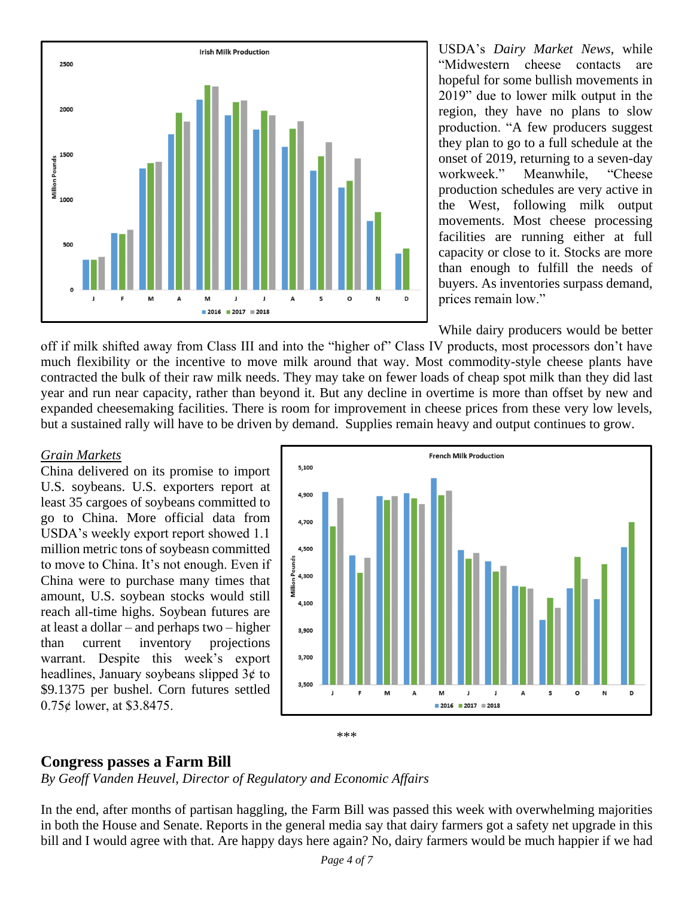

USDA's *Dairy Market News*, while "Midwestern cheese contacts are hopeful for some bullish movements in 2019" due to lower milk output in the region, they have no plans to slow production. "A few producers suggest they plan to go to a full schedule at the onset of 2019, returning to a seven-day workweek." Meanwhile, "Cheese production schedules are very active in the West, following milk output movements. Most cheese processing facilities are running either at full capacity or close to it. Stocks are more than enough to fulfill the needs of buyers. As inventories surpass demand, prices remain low."

While dairy producers would be better

off if milk shifted away from Class III and into the "higher of" Class IV products, most processors don't have much flexibility or the incentive to move milk around that way. Most commodity-style cheese plants have contracted the bulk of their raw milk needs. They may take on fewer loads of cheap spot milk than they did last year and run near capacity, rather than beyond it. But any decline in overtime is more than offset by new and expanded cheesemaking facilities. There is room for improvement in cheese prices from these very low levels, but a sustained rally will have to be driven by demand. Supplies remain heavy and output continues to grow.

#### *Grain Markets*

China delivered on its promise to import U.S. soybeans. U.S. exporters report at least 35 cargoes of soybeans committed to go to China. More official data from USDA's weekly export report showed 1.1 million metric tons of soybeasn committed to move to China. It's not enough. Even if China were to purchase many times that amount, U.S. soybean stocks would still reach all-time highs. Soybean futures are at least a dollar – and perhaps two – higher than current inventory projections warrant. Despite this week's export headlines, January soybeans slipped  $3¢$  to \$9.1375 per bushel. Corn futures settled  $0.75¢$  lower, at \$3.8475.



#### \*\*\*

#### **Congress passes a Farm Bill**

*By Geoff Vanden Heuvel, Director of Regulatory and Economic Affairs*

In the end, after months of partisan haggling, the Farm Bill was passed this week with overwhelming majorities in both the House and Senate. Reports in the general media say that dairy farmers got a safety net upgrade in this bill and I would agree with that. Are happy days here again? No, dairy farmers would be much happier if we had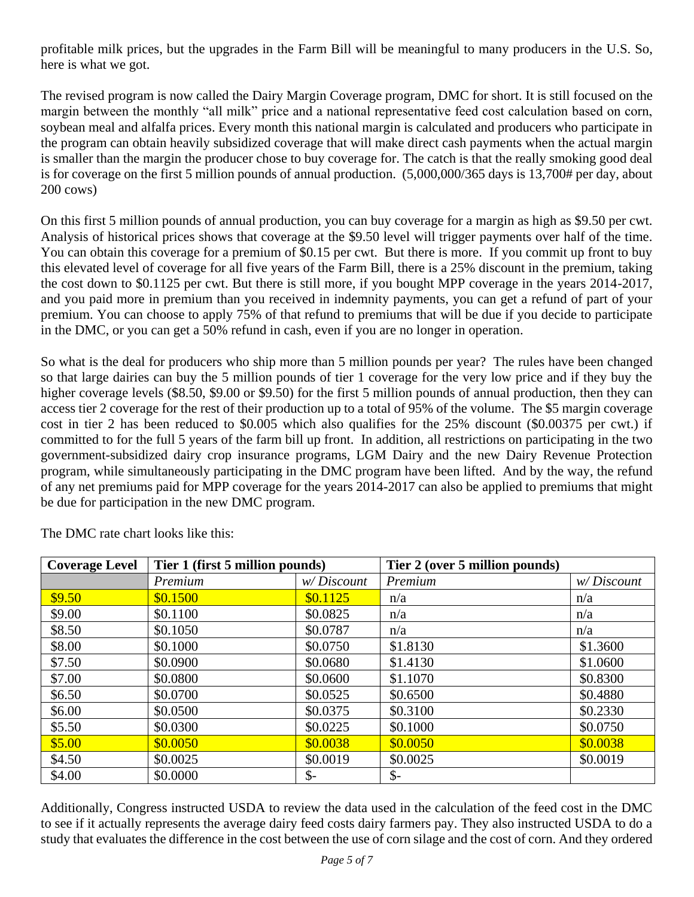profitable milk prices, but the upgrades in the Farm Bill will be meaningful to many producers in the U.S. So, here is what we got.

The revised program is now called the Dairy Margin Coverage program, DMC for short. It is still focused on the margin between the monthly "all milk" price and a national representative feed cost calculation based on corn, soybean meal and alfalfa prices. Every month this national margin is calculated and producers who participate in the program can obtain heavily subsidized coverage that will make direct cash payments when the actual margin is smaller than the margin the producer chose to buy coverage for. The catch is that the really smoking good deal is for coverage on the first 5 million pounds of annual production. (5,000,000/365 days is 13,700# per day, about 200 cows)

On this first 5 million pounds of annual production, you can buy coverage for a margin as high as \$9.50 per cwt. Analysis of historical prices shows that coverage at the \$9.50 level will trigger payments over half of the time. You can obtain this coverage for a premium of \$0.15 per cwt. But there is more. If you commit up front to buy this elevated level of coverage for all five years of the Farm Bill, there is a 25% discount in the premium, taking the cost down to \$0.1125 per cwt. But there is still more, if you bought MPP coverage in the years 2014-2017, and you paid more in premium than you received in indemnity payments, you can get a refund of part of your premium. You can choose to apply 75% of that refund to premiums that will be due if you decide to participate in the DMC, or you can get a 50% refund in cash, even if you are no longer in operation.

So what is the deal for producers who ship more than 5 million pounds per year? The rules have been changed so that large dairies can buy the 5 million pounds of tier 1 coverage for the very low price and if they buy the higher coverage levels (\$8.50, \$9.00 or \$9.50) for the first 5 million pounds of annual production, then they can access tier 2 coverage for the rest of their production up to a total of 95% of the volume. The \$5 margin coverage cost in tier 2 has been reduced to \$0.005 which also qualifies for the 25% discount (\$0.00375 per cwt.) if committed to for the full 5 years of the farm bill up front. In addition, all restrictions on participating in the two government-subsidized dairy crop insurance programs, LGM Dairy and the new Dairy Revenue Protection program, while simultaneously participating in the DMC program have been lifted. And by the way, the refund of any net premiums paid for MPP coverage for the years 2014-2017 can also be applied to premiums that might be due for participation in the new DMC program.

| <b>Coverage Level</b> | Tier 1 (first 5 million pounds) |                 | Tier 2 (over 5 million pounds) |            |
|-----------------------|---------------------------------|-----------------|--------------------------------|------------|
|                       | Premium                         | w/Discount      | Premium                        | w/Discount |
| \$9.50                | \$0.1500                        | \$0.1125        | n/a                            | n/a        |
| \$9.00                | \$0.1100                        | \$0.0825        | n/a                            | n/a        |
| \$8.50                | \$0.1050                        | \$0.0787        | n/a                            | n/a        |
| \$8.00                | \$0.1000                        | \$0.0750        | \$1.8130                       | \$1.3600   |
| \$7.50                | \$0.0900                        | \$0.0680        | \$1.4130                       | \$1.0600   |
| \$7.00                | \$0.0800                        | \$0.0600        | \$1.1070                       | \$0.8300   |
| \$6.50                | \$0.0700                        | \$0.0525        | \$0.6500                       | \$0.4880   |
| \$6.00                | \$0.0500                        | \$0.0375        | \$0.3100                       | \$0.2330   |
| \$5.50                | \$0.0300                        | \$0.0225        | \$0.1000                       | \$0.0750   |
| \$5.00                | \$0.0050                        | \$0.0038        | \$0.0050                       | \$0.0038   |
| \$4.50                | \$0.0025                        | \$0.0019        | \$0.0025                       | \$0.0019   |
| \$4.00                | \$0.0000                        | $\mathcal{S}$ - | $\mathcal{S}$ -                |            |

The DMC rate chart looks like this:

Additionally, Congress instructed USDA to review the data used in the calculation of the feed cost in the DMC to see if it actually represents the average dairy feed costs dairy farmers pay. They also instructed USDA to do a study that evaluates the difference in the cost between the use of corn silage and the cost of corn. And they ordered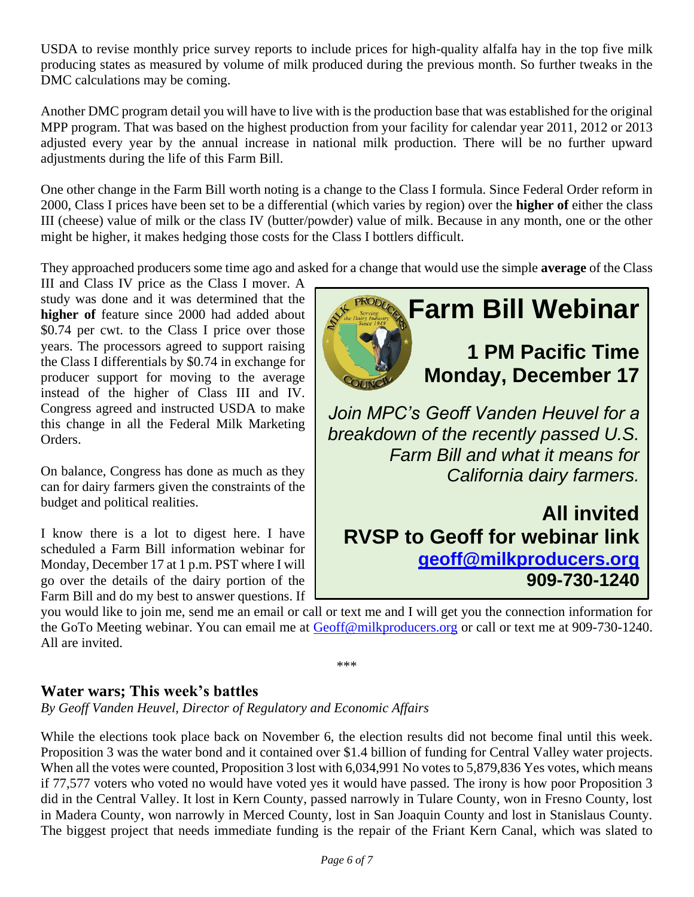USDA to revise monthly price survey reports to include prices for high-quality alfalfa hay in the top five milk producing states as measured by volume of milk produced during the previous month. So further tweaks in the DMC calculations may be coming.

Another DMC program detail you will have to live with is the production base that was established for the original MPP program. That was based on the highest production from your facility for calendar year 2011, 2012 or 2013 adjusted every year by the annual increase in national milk production. There will be no further upward adjustments during the life of this Farm Bill.

One other change in the Farm Bill worth noting is a change to the Class I formula. Since Federal Order reform in 2000, Class I prices have been set to be a differential (which varies by region) over the **higher of** either the class III (cheese) value of milk or the class IV (butter/powder) value of milk. Because in any month, one or the other might be higher, it makes hedging those costs for the Class I bottlers difficult.

They approached producers some time ago and asked for a change that would use the simple **average** of the Class

III and Class IV price as the Class I mover. A study was done and it was determined that the **higher of** feature since 2000 had added about \$0.74 per cwt. to the Class I price over those years. The processors agreed to support raising the Class I differentials by \$0.74 in exchange for producer support for moving to the average instead of the higher of Class III and IV. Congress agreed and instructed USDA to make this change in all the Federal Milk Marketing Orders.

On balance, Congress has done as much as they can for dairy farmers given the constraints of the budget and political realities.

I know there is a lot to digest here. I have scheduled a Farm Bill information webinar for Monday, December 17 at 1 p.m. PST where I will go over the details of the dairy portion of the Farm Bill and do my best to answer questions. If



*breakdown of the recently passed U.S. Farm Bill and what it means for California dairy farmers.*

## **All invited RVSP to Geoff for webinar link [geoff@milkproducers.org](mailto:geoff@milkproducers.org) 909-730-1240**

you would like to join me, send me an email or call or text me and I will get you the connection information for the GoTo Meeting webinar. You can email me at [Geoff@milkproducers.org](mailto:Geoff@milkproducers.org) or call or text me at 909-730-1240. All are invited.

\*\*\*

#### **Water wars; This week's battles**

*By Geoff Vanden Heuvel, Director of Regulatory and Economic Affairs*

While the elections took place back on November 6, the election results did not become final until this week. Proposition 3 was the water bond and it contained over \$1.4 billion of funding for Central Valley water projects. When all the votes were counted, Proposition 3 lost with 6,034,991 No votes to 5,879,836 Yes votes, which means if 77,577 voters who voted no would have voted yes it would have passed. The irony is how poor Proposition 3 did in the Central Valley. It lost in Kern County, passed narrowly in Tulare County, won in Fresno County, lost in Madera County, won narrowly in Merced County, lost in San Joaquin County and lost in Stanislaus County. The biggest project that needs immediate funding is the repair of the Friant Kern Canal, which was slated to